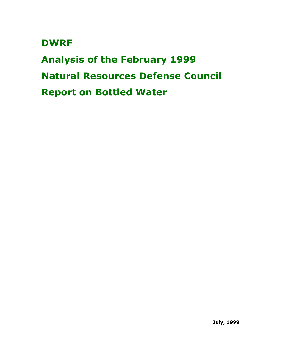# **DWRF**

**Analysis of the February 1999 Natural Resources Defense Council Report on Bottled Water**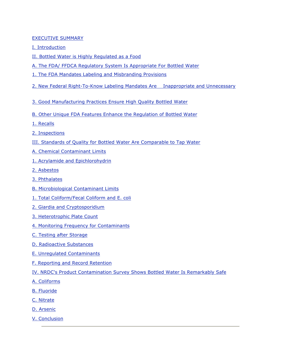#### EXECUTIVE SUMMARY

- I. Introduction
- II. Bottled Water is Highly Regulated as a Food
- A. The FDA/ FFDCA Regulatory System Is Appropriate For Bottled Water
- 1. The FDA Mandates Labeling and Misbranding Provisions
- 2. New Federal Right-To-Know Labeling Mandates Are Inappropriate and Unnecessary
- 3. Good Manufacturing Practices Ensure High Quality Bottled Water
- B. Other Unique FDA Features Enhance the Regulation of Bottled Water
- 1. Recalls
- 2. Inspections
- III. Standards of Quality for Bottled Water Are Comparable to Tap Water
- A. Chemical Contaminant Limits
- 1. Acrylamide and Epichlorohydrin
- 2. Asbestos
- 3. Phthalates
- B. Microbiological Contaminant Limits
- 1. Total Coliform/Fecal Coliform and E. coli
- 2. Giardia and Cryptosporidium
- 3. Heterotrophic Plate Count
- 4. Monitoring Frequency for Contaminants
- C. Testing after Storage
- D. Radioactive Substances
- E. Unregulated Contaminants
- F. Reporting and Record Retention
- IV. NRDC's Product Contamination Survey Shows Bottled Water Is Remarkably Safe
- A. Coliforms
- B. Fluoride
- C. Nitrate
- D. Arsenic
- V. Conclusion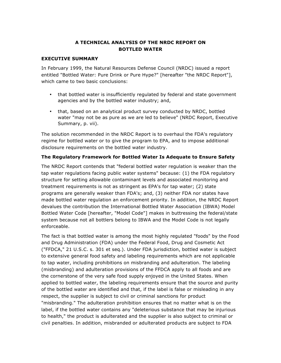# **A TECHNICAL ANALYSIS OF THE NRDC REPORT ON BOTTLED WATER**

#### **EXECUTIVE SUMMARY**

In February 1999, the Natural Resources Defense Council (NRDC) issued a report entitled "Bottled Water: Pure Drink or Pure Hype?" [hereafter "the NRDC Report"], which came to two basic conclusions:

- that bottled water is insufficiently regulated by federal and state government agencies and by the bottled water industry; and,
- that, based on an analytical product survey conducted by NRDC, bottled water "may not be as pure as we are led to believe" (NRDC Report, Executive Summary, p. vii).

The solution recommended in the NRDC Report is to overhaul the FDA's regulatory regime for bottled water or to give the program to EPA, and to impose additional disclosure requirements on the bottled water industry.

## **The Regulatory Framework for Bottled Water Is Adequate to Ensure Safety**

The NRDC Report contends that "federal bottled water regulation is weaker than the tap water regulations facing public water systems" because: (1) the FDA regulatory structure for setting allowable contaminant levels and associated monitoring and treatment requirements is not as stringent as EPA's for tap water; (2) state programs are generally weaker than FDA's; and, (3) neither FDA nor states have made bottled water regulation an enforcement priority. In addition, the NRDC Report devalues the contribution the International Bottled Water Association (IBWA) Model Bottled Water Code [hereafter, "Model Code"] makes in buttressing the federal/state system because not all bottlers belong to IBWA and the Model Code is not legally enforceable.

The fact is that bottled water is among the most highly regulated "foods" by the Food and Drug Administration (FDA) under the Federal Food, Drug and Cosmetic Act ("FFDCA," 21 U.S.C. s. 301 et seq.). Under FDA jurisdiction, bottled water is subject to extensive general food safety and labeling requirements which are not applicable to tap water, including prohibitions on misbranding and adulteration. The labeling (misbranding) and adulteration provisions of the FFDCA apply to all foods and are the cornerstone of the very safe food supply enjoyed in the United States. When applied to bottled water, the labeling requirements ensure that the source and purity of the bottled water are identified and that, if the label is false or misleading in any respect, the supplier is subject to civil or criminal sanctions for product "misbranding." The adulteration prohibition ensures that no matter what is on the label, if the bottled water contains any "deleterious substance that may be injurious to health," the product is adulterated and the supplier is also subject to criminal or civil penalties. In addition, misbranded or adulterated products are subject to FDA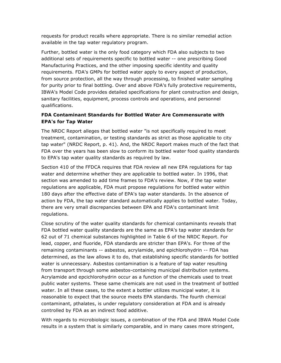requests for product recalls where appropriate. There is no similar remedial action available in the tap water regulatory program.

Further, bottled water is the only food category which FDA also subjects to two additional sets of requirements specific to bottled water -- one prescribing Good Manufacturing Practices, and the other imposing specific identity and quality requirements. FDA's GMPs for bottled water apply to every aspect of production, from source protection, all the way through processing, to finished water sampling for purity prior to final bottling. Over and above FDA's fully protective requirements, IBWA's Model Code provides detailed specifications for plant construction and design, sanitary facilities, equipment, process controls and operations, and personnel qualifications.

# **FDA Contaminant Standards for Bottled Water Are Commensurate with EPA's for Tap Water**

The NRDC Report alleges that bottled water "is not specifically required to meet treatment, contamination, or testing standards as strict as those applicable to city tap water" (NRDC Report, p. 41). And, the NRDC Report makes much of the fact that FDA over the years has been slow to conform its bottled water food quality standards to EPA's tap water quality standards as required by law.

Section 410 of the FFDCA requires that FDA review all new EPA regulations for tap water and determine whether they are applicable to bottled water. In 1996, that section was amended to add time frames to FDA's review. Now, if the tap water regulations are applicable, FDA must propose regulations for bottled water within 180 days after the effective date of EPA's tap water standards. In the absence of action by FDA, the tap water standard automatically applies to bottled water. Today, there are very small discrepancies between EPA and FDA's contaminant limit regulations.

Close scrutiny of the water quality standards for chemical contaminants reveals that FDA bottled water quality standards are the same as EPA's tap water standards for 62 out of 71 chemical substances highlighted in Table 6 of the NRDC Report. For lead, copper, and fluoride, FDA standards are stricter than EPA's. For three of the remaining contaminants -- asbestos, acrylamide, and epichlorohydrin -- FDA has determined, as the law allows it to do, that establishing specific standards for bottled water is unnecessary. Asbestos contamination is a feature of tap water resulting from transport through some asbestos-containing municipal distribution systems. Acrylamide and epcichlorohydrin occur as a function of the chemicals used to treat public water systems. These same chemicals are not used in the treatment of bottled water. In all these cases, to the extent a bottler utilizes municipal water, it is reasonable to expect that the source meets EPA standards. The fourth chemical contaminant, pthalates, is under regulatory consideration at FDA and is already controlled by FDA as an indirect food additive.

With regards to microbiologic issues, a combination of the FDA and IBWA Model Code results in a system that is similarly comparable, and in many cases more stringent,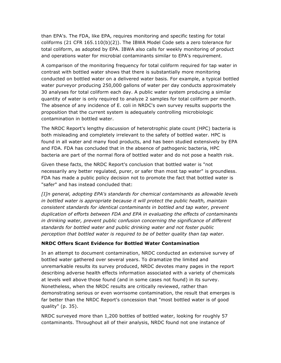than EPA's. The FDA, like EPA, requires monitoring and specific testing for total coliforms (21 CFR 165.110(b)(2)). The IBWA Model Code sets a zero tolerance for total coliform, as adopted by EPA. IBWA also calls for weekly monitoring of product and operations water for microbial contaminants similar to EPA's requirement.

A comparison of the monitoring frequency for total coliform required for tap water in contrast with bottled water shows that there is substantially more monitoring conducted on bottled water on a delivered water basis. For example, a typical bottled water purveyor producing 250,000 gallons of water per day conducts approximately 30 analyses for total coliform each day. A public water system producing a similar quantity of water is only required to analyze 2 samples for total coliform per month. The absence of any incidence of E. coli in NRDC's own survey results supports the proposition that the current system is adequately controlling microbiologic contamination in bottled water.

The NRDC Report's lengthy discussion of heterotrophic plate count (HPC) bacteria is both misleading and completely irrelevant to the safety of bottled water. HPC is found in all water and many food products, and has been studied extensively by EPA and FDA. FDA has concluded that in the absence of pathogenic bacteria, HPC bacteria are part of the normal flora of bottled water and do not pose a health risk.

Given these facts, the NRDC Report's conclusion that bottled water is "not necessarily any better regulated, purer, or safer than most tap water" is groundless. FDA has made a public policy decision not to promote the fact that bottled water is "safer" and has instead concluded that:

*[I]n general, adopting EPA's standards for chemical contaminants as allowable levels in bottled water is appropriate because it will protect the public health, maintain consistent standards for identical contaminants in bottled and tap water, prevent duplication of efforts between FDA and EPA in evaluating the effects of contaminants in drinking water, prevent public confusion concerning the significance of different standards for bottled water and public drinking water and not foster public perception that bottled water is required to be of better quality than tap water.* 

# **NRDC Offers Scant Evidence for Bottled Water Contamination**

In an attempt to document contamination, NRDC conducted an extensive survey of bottled water gathered over several years. To dramatize the limited and unremarkable results its survey produced, NRDC devotes many pages in the report describing adverse health effects information associated with a variety of chemicals at levels well above those found (and in some cases not found) in its survey. Nonetheless, when the NRDC results are critically reviewed, rather than demonstrating serious or even worrisome contamination, the result that emerges is far better than the NRDC Report's concession that "most bottled water is of good quality" (p. 35).

NRDC surveyed more than 1,200 bottles of bottled water, looking for roughly 57 contaminants. Throughout all of their analysis, NRDC found not one instance of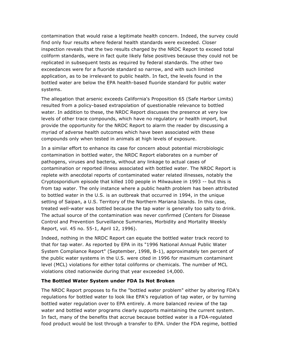contamination that would raise a legitimate health concern. Indeed, the survey could find only four results where federal health standards were exceeded. Closer inspection reveals that the two results charged by the NRDC Report to exceed total coliform standards, were in fact quite likely false positives because they could not be replicated in subsequent tests as required by federal standards. The other two exceedances were for a fluoride standard so narrow, and with such limited application, as to be irrelevant to public health. In fact, the levels found in the bottled water are below the EPA health-based fluoride standard for public water systems.

The allegation that arsenic exceeds California's Proposition 65 (Safe Harbor Limits) resulted from a policy-based extrapolation of questionable relevance to bottled water. In addition to these, the NRDC Report discusses the presence at very low levels of other trace compounds, which have no regulatory or health import, but provide the opportunity for the NRDC Report to alarm the reader by discussing a myriad of adverse health outcomes which have been associated with these compounds only when tested in animals at high levels of exposure.

In a similar effort to enhance its case for concern about potential microbiologic contamination in bottled water, the NRDC Report elaborates on a number of pathogens, viruses and bacteria, without any linkage to actual cases of contamination or reported illness associated with bottled water. The NRDC Report is replete with anecdotal reports of contaminated water related illnesses, notably the Cryptosporidium episode that killed 100 people in Milwaukee in 1993 -- but this is from tap water. The only instance where a public health problem has been attributed to bottled water in the U.S. is an outbreak that occurred in 1994, in the unique setting of Saipan, a U.S. Territory of the Northern Mariana Islands. In this case, treated well-water was bottled because the tap water is generally too salty to drink. The actual source of the contamination was never confirmed (Centers for Disease Control and Prevention Surveillance Summaries, Morbidity and Mortality Weekly Report, vol. 45 no. 55-1, April 12, 1996).

Indeed, nothing in the NRDC Report can equate the bottled water track record to that for tap water. As reported by EPA in its "1996 National Annual Public Water System Compliance Report" (September, 1998, B-1), approximately ten percent of the public water systems in the U.S. were cited in 1996 for maximum contaminant level (MCL) violations for either total coliforms or chemicals. The number of MCL violations cited nationwide during that year exceeded 14,000.

## **The Bottled Water System under FDA Is Not Broken**

The NRDC Report proposes to fix the "bottled water problem" either by altering FDA's regulations for bottled water to look like EPA's regulation of tap water, or by turning bottled water regulation over to EPA entirely. A more balanced review of the tap water and bottled water programs clearly supports maintaining the current system. In fact, many of the benefits that accrue because bottled water is a FDA-regulated food product would be lost through a transfer to EPA. Under the FDA regime, bottled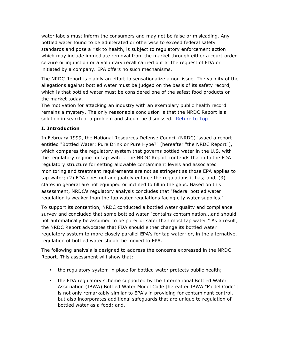water labels must inform the consumers and may not be false or misleading. Any bottled water found to be adulterated or otherwise to exceed federal safety standards and pose a risk to health, is subject to regulatory enforcement action which may include immediate removal from the market through either a court-order seizure or injunction or a voluntary recall carried out at the request of FDA or initiated by a company. EPA offers no such mechanisms.

The NRDC Report is plainly an effort to sensationalize a non-issue. The validity of the allegations against bottled water must be judged on the basis of its safety record, which is that bottled water must be considered one of the safest food products on the market today.

The motivation for attacking an industry with an exemplary public health record remains a mystery. The only reasonable conclusion is that the NRDC Report is a solution in search of a problem and should be dismissed. Return to Top

## **I. Introduction**

In February 1999, the National Resources Defense Council (NRDC) issued a report entitled "Bottled Water: Pure Drink or Pure Hype?" [hereafter "the NRDC Report"], which compares the regulatory system that governs bottled water in the U.S. with the regulatory regime for tap water. The NRDC Report contends that: (1) the FDA regulatory structure for setting allowable contaminant levels and associated monitoring and treatment requirements are not as stringent as those EPA applies to tap water; (2) FDA does not adequately enforce the regulations it has; and, (3) states in general are not equipped or inclined to fill in the gaps. Based on this assessment, NRDC's regulatory analysis concludes that "federal bottled water regulation is weaker than the tap water regulations facing city water supplies."

To support its contention, NRDC conducted a bottled water quality and compliance survey and concluded that some bottled water "contains contamination...and should not automatically be assumed to be purer or safer than most tap water." As a result, the NRDC Report advocates that FDA should either change its bottled water regulatory system to more closely parallel EPA's for tap water; or, in the alternative, regulation of bottled water should be moved to EPA.

The following analysis is designed to address the concerns expressed in the NRDC Report. This assessment will show that:

- the regulatory system in place for bottled water protects public health;
- the FDA regulatory scheme supported by the International Bottled Water Association (IBWA) Bottled Water Model Code [hereafter IBWA "Model Code"] is not only remarkably similar to EPA's in providing for contaminant control, but also incorporates additional safeguards that are unique to regulation of bottled water as a food; and,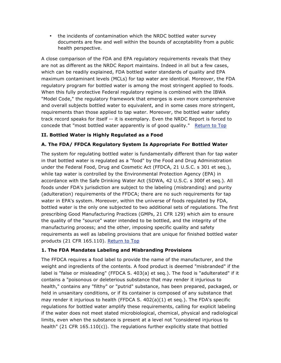• the incidents of contamination which the NRDC bottled water survey documents are few and well within the bounds of acceptability from a public health perspective.

A close comparison of the FDA and EPA regulatory requirements reveals that they are not as different as the NRDC Report maintains. Indeed in all but a few cases, which can be readily explained, FDA bottled water standards of quality and EPA maximum contaminant levels (MCLs) for tap water are identical. Moreover, the FDA regulatory program for bottled water is among the most stringent applied to foods. When this fully protective Federal regulatory regime is combined with the IBWA "Model Code," the regulatory framework that emerges is even more comprehensive and overall subjects bottled water to equivalent, and in some cases more stringent, requirements than those applied to tap water. Moreover, the bottled water safety track record speaks for itself -- it is exemplary. Even the NRDC Report is forced to concede that "most bottled water apparently is of good quality." Return to Top

## **II. Bottled Water is Highly Regulated as a Food**

## **A. The FDA/ FFDCA Regulatory System Is Appropriate For Bottled Water**

The system for regulating bottled water is fundamentally different than for tap water in that bottled water is regulated as a "food" by the Food and Drug Administration under the Federal Food, Drug and Cosmetic Act (FFDCA, 21 U.S.C. s 301 et seq.), while tap water is controlled by the Environmental Protection Agency (EPA) in accordance with the Safe Drinking Water Act (SDWA, 42 U.S.C. s 300f et seq.). All foods under FDA's jurisdiction are subject to the labeling (misbranding) and purity (adulteration) requirements of the FFDCA; there are no such requirements for tap water in EPA's system. Moreover, within the universe of foods regulated by FDA, bottled water is the only one subjected to two additional sets of regulations. The first prescribing Good Manufacturing Practices (GMPs, 21 CFR 129) which aim to ensure the quality of the "source" water intended to be bottled, and the integrity of the manufacturing process; and the other, imposing specific quality and safety requirements as well as labeling provisions that are unique for finished bottled water products (21 CFR 165.110). Return to Top

## **1. The FDA Mandates Labeling and Misbranding Provisions**

The FFDCA requires a food label to provide the name of the manufacturer, and the weight and ingredients of the contents. A food product is deemed "misbranded" if the label is "false or misleading" (FFDCA S. 403(a) et seq.). The food is "adulterated" if it contains a "poisonous or deleterious substance that may render it injurious to health," contains any "filthy" or "putrid" substance, has been prepared, packaged, or held in unsanitary conditions, or if its container is composed of any substance that may render it injurious to health (FFDCA S. 402(a)(1) et seq.). The FDA's specific regulations for bottled water amplify these requirements, calling for explicit labeling if the water does not meet stated microbiological, chemical, physical and radiological limits, even when the substance is present at a level not "considered injurious to health" (21 CFR 165.110(c)). The regulations further explicitly state that bottled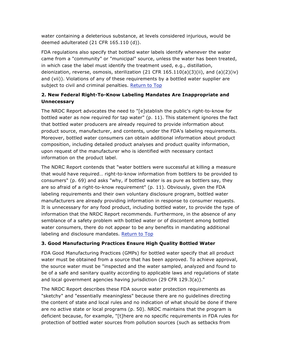water containing a deleterious substance, at levels considered injurious, would be deemed adulterated (21 CFR 165.110 (d)).

FDA regulations also specify that bottled water labels identify whenever the water came from a "community" or "municipal" source, unless the water has been treated, in which case the label must identify the treatment used, e.g., distillation, deionization, reverse, osmosis, sterilization (21 CFR  $165.110(a)(3)(ii)$ , and  $(a)(2)(iv)$ and (vii)). Violations of any of these requirements by a bottled water supplier are subject to civil and criminal penalties. Return to Top

# **2. New Federal Right-To-Know Labeling Mandates Are Inappropriate and Unnecessary**

The NRDC Report advocates the need to "[e]stablish the public's right-to-know for bottled water as now required for tap water" (p. 11). This statement ignores the fact that bottled water producers are already required to provide information about product source, manufacturer, and contents, under the FDA's labeling requirements. Moreover, bottled water consumers can obtain additional information about product composition, including detailed product analyses and product quality information, upon request of the manufacturer who is identified with necessary contact information on the product label.

The NDRC Report contends that "water bottlers were successful at killing a measure that would have required… right-to-know information from bottlers to be provided to consumers" (p. 69) and asks "why, if bottled water is as pure as bottlers say, they are so afraid of a right-to-know requirement" (p. 11). Obviously, given the FDA labeling requirements and their own voluntary disclosure program, bottled water manufacturers are already providing information in response to consumer requests. It is unnecessary for any food product, including bottled water, to provide the type of information that the NRDC Report recommends. Furthermore, in the absence of any semblance of a safety problem with bottled water or of discontent among bottled water consumers, there do not appear to be any benefits in mandating additional labeling and disclosure mandates. Return to Top

# **3. Good Manufacturing Practices Ensure High Quality Bottled Water**

FDA Good Manufacturing Practices (GMPs) for bottled water specify that all product water must be obtained from a source that has been approved. To achieve approval, the source water must be "inspected and the water sampled, analyzed and found to be of a safe and sanitary quality according to applicable laws and regulations of state and local government agencies having jurisdiction (29 CFR 129.3(a))."

The NRDC Report describes these FDA source water protection requirements as "sketchy" and "essentially meaningless" because there are no guidelines directing the content of state and local rules and no indication of what should be done if there are no active state or local programs (p. 50). NRDC maintains that the program is deficient because, for example, "[t]here are no specific requirements in FDA rules for protection of bottled water sources from pollution sources (such as setbacks from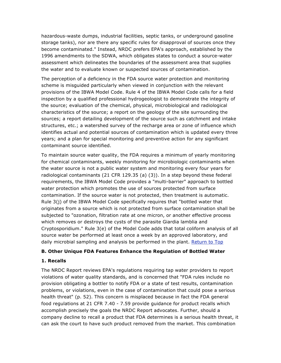hazardous-waste dumps, industrial facilities, septic tanks, or underground gasoline storage tanks), nor are there any specific rules for disapproval of sources once they become contaminated." Instead, NRDC prefers EPA's approach, established by the 1996 amendments to the SDWA, which obligates states to conduct a source-water assessment which delineates the boundaries of the assessment area that supplies the water and to evaluate known or suspected sources of contamination.

The perception of a deficiency in the FDA source water protection and monitoring scheme is misguided particularly when viewed in conjunction with the relevant provisions of the IBWA Model Code. Rule 4 of the IBWA Model Code calls for a field inspection by a qualified professional hydrogeologist to demonstrate the integrity of the source; evaluation of the chemical, physical, microbiological and radiological characteristics of the source; a report on the geology of the site surrounding the sources; a report detailing development of the source such as catchment and intake structures, etc.; a watershed survey of the recharge area or zone of influence which identifies actual and potential sources of contamination which is updated every three years; and a plan for special monitoring and preventive action for any significant contaminant source identified.

To maintain source water quality, the FDA requires a minimum of yearly monitoring for chemical contaminants, weekly monitoring for microbiologic contaminants when the water source is not a public water system and monitoring every four years for radiological contaminants (21 CFR 129.35 (a) (3)). In a step beyond these federal requirements, the IBWA Model Code provides a "multi-barrier" approach to bottled water protection which promotes the use of sources protected from surface contamination. If the source water is not protected, then treatment is automatic. Rule 3(j) of the IBWA Model Code specifically requires that "bottled water that originates from a source which is not protected from surface contamination shall be subjected to "ozonation, filtration rate at one micron, or another effective process which removes or destroys the cysts of the parasite Giardia lamblia and Cryptosporidium." Rule 3(e) of the Model Code adds that total coliform analysis of all source water be performed at least once a week by an approved laboratory, and daily microbial sampling and analysis be performed in the plant. Return to Top

## **B. Other Unique FDA Features Enhance the Regulation of Bottled Water**

#### **1. Recalls**

The NRDC Report reviews EPA's regulations requiring tap water providers to report violations of water quality standards, and is concerned that "FDA rules include no provision obligating a bottler to notify FDA or a state of test results, contamination problems, or violations, even in the case of contamination that could pose a serious health threat" (p. 52). This concern is misplaced because in fact the FDA general food regulations at 21 CFR 7.40 - 7.59 provide guidance for product recalls which accomplish precisely the goals the NRDC Report advocates. Further, should a company decline to recall a product that FDA determines is a serious health threat, it can ask the court to have such product removed from the market. This combination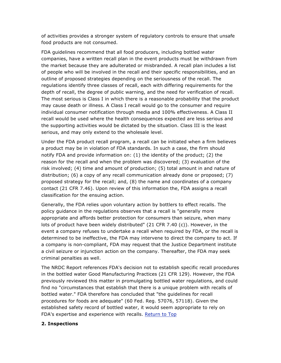of activities provides a stronger system of regulatory controls to ensure that unsafe food products are not consumed.

FDA guidelines recommend that all food producers, including bottled water companies, have a written recall plan in the event products must be withdrawn from the market because they are adulterated or misbranded. A recall plan includes a list of people who will be involved in the recall and their specific responsibilities, and an outline of proposed strategies depending on the seriousness of the recall. The regulations identify three classes of recall, each with differing requirements for the depth of recall, the degree of public warning, and the need for verification of recall. The most serious is Class I in which there is a reasonable probability that the product may cause death or illness. A Class I recall would go to the consumer and require individual consumer notification through media and 100% effectiveness. A Class II recall would be used where the health consequences expected are less serious and the supporting activities would be dictated by the situation. Class III is the least serious, and may only extend to the wholesale level.

Under the FDA product recall program, a recall can be initiated when a firm believes a product may be in violation of FDA standards. In such a case, the firm should notify FDA and provide information on: (1) the identity of the product; (2) the reason for the recall and when the problem was discovered; (3) evaluation of the risk involved; (4) time and amount of production; (5) total amount in and nature of distribution; (6) a copy of any recall communication already done or proposed; (7) proposed strategy for the recall; and, (8) the name and coordinates of a company contact (21 CFR 7.46). Upon review of this information the, FDA assigns a recall classification for the ensuing action.

Generally, the FDA relies upon voluntary action by bottlers to effect recalls. The policy guidance in the regulations observes that a recall is "generally more appropriate and affords better protection for consumers than seizure, when many lots of product have been widely distributed" (21 CFR 7.40 (c)). However, in the event a company refuses to undertake a recall when required by FDA, or the recall is determined to be ineffective, the FDA may intervene to direct the company to act. If a company is non-compliant, FDA may request that the Justice Department institute a civil seizure or injunction action on the company. Thereafter, the FDA may seek criminal penalties as well.

The NRDC Report references FDA's decision not to establish specific recall procedures in the bottled water Good Manufacturing Practices (21 CFR 129). However, the FDA previously reviewed this matter in promulgating bottled water regulations, and could find no "circumstances that establish that there is a unique problem with recalls of bottled water." FDA therefore has concluded that "the guidelines for recall procedures for foods are adequate" (60 Fed. Reg. 57076, 57118). Given the established safety record of bottled water, it would seem appropriate to rely on FDA's expertise and experience with recalls. Return to Top

## **2. Inspections**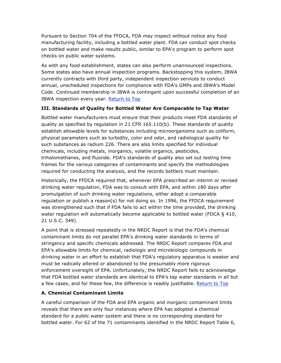Pursuant to Section 704 of the FFDCA, FDA may inspect without notice any food manufacturing facility, including a bottled water plant. FDA can conduct spot checks on bottled water and make results public, similar to EPA's program to perform spot checks on public water systems.

As with any food establishment, states can also perform unannounced inspections. Some states also have annual inspection programs. Backstopping this system, IBWA currently contracts with third party, independent inspection services to conduct annual, unscheduled inspections for compliance with FDA's GMPs and IBWA's Model Code. Continued membership in IBWA is contingent upon successful completion of an IBWA inspection every year. Return to Top

# **III. Standards of Quality for Bottled Water Are Comparable to Tap Water**

Bottled water manufacturers must ensure that their products meet FDA standards of quality as specified by regulation in 21 CFR 165.110(b). These standards of quality establish allowable levels for substances including microorganisms such as coliform, physical parameters such as turbidity, color and odor, and radiological quality for such substances as radium 226. There are also limits specified for individual chemicals, including metals, inorganics, volatile organics, pesticides, trihalomethanes, and fluoride. FDA's standards of quality also set out testing time frames for the various categories of contaminants and specify the methodologies required for conducting the analysis, and the records bottlers must maintain.

Historically, the FFDCA required that, whenever EPA prescribed an interim or revised drinking water regulation, FDA was to consult with EPA, and within 180 days after promulgation of such drinking water regulations, either adopt a comparable regulation or publish a reason(s) for not doing so. In 1996, the FFDCA requirement was strengthened such that if FDA fails to act within the time provided, the drinking water regulation will automatically become applicable to bottled water (FDCA § 410, 21 U.S.C. 349).

A point that is stressed repeatedly in the NRDC Report is that the FDA's chemical contaminant limits do not parallel EPA's drinking water standards in terms of stringency and specific chemicals addressed. The NRDC Report compares FDA and EPA's allowable limits for chemical, radiologic and microbiologic compounds in drinking water in an effort to establish that FDA's regulatory apparatus is weaker and must be radically altered or abandoned to the presumably more rigorous enforcement oversight of EPA. Unfortunately, the NRDC Report fails to acknowledge that FDA bottled water standards are identical to EPA's tap water standards in all but a few cases, and for these few, the difference is readily justifiable. Return to Top

# **A. Chemical Contaminant Limits**

A careful comparison of the FDA and EPA organic and inorganic contaminant limits reveals that there are only four instances where EPA has adopted a chemical standard for a public water system and there is no corresponding standard for bottled water. For 62 of the 71 contaminants identified in the NRDC Report Table 6,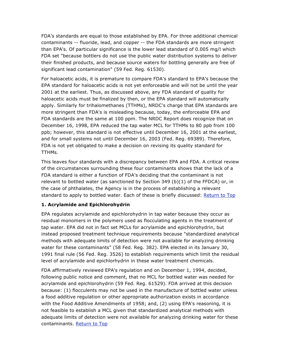FDA's standards are equal to those established by EPA. For three additional chemical contaminants -- fluoride, lead, and copper -- the FDA standards are more stringent than EPA's. Of particular significance is the lower lead standard of 0.005 mg/l which FDA set "because bottlers do not use the public water distribution systems to deliver their finished products, and because source waters for bottling generally are free of significant lead contamination" (59 Fed. Reg. 61530).

For haloacetic acids, it is premature to compare FDA's standard to EPA's because the EPA standard for haloacetic acids is not yet enforceable and will not be until the year 2001 at the earliest. Thus, as discussed above, any FDA standard of quality for haloacetic acids must be finalized by then, or the EPA standard will automatically apply. Similarly for trihalomethanes (TTHMs), NRDC's charge that EPA standards are more stringent than FDA's is misleading because, today, the enforceable EPA and FDA standards are the same at 100 ppm. The NRDC Report does recognize that on December 16, 1998, EPA reduced the tap water MCL for TTHMs to 80 ppb from 100 ppb; however, this standard is not effective until December 16, 2001 at the earliest, and for small systems not until December 16, 2003 (Fed. Reg. 69389). Therefore, FDA is not yet obligated to make a decision on revising its quality standard for TTHMs.

This leaves four standards with a discrepancy between EPA and FDA. A critical review of the circumstances surrounding these four contaminants shows that the lack of a FDA standard is either a function of FDA's deciding that the contaminant is not relevant to bottled water (as sanctioned by Section 349  $(b)(1)$  of the FFDCA) or, in the case of phthalates, the Agency is in the process of establishing a relevant standard to apply to bottled water. Each of these is briefly discussed: Return to Top

## **1. Acrylamide and Epichlorohydrin**

EPA regulates acrylamide and epichlorohydrin in tap water because they occur as residual monomers in the polymers used as flocculating agents in the treatment of tap water. EPA did not in fact set MCLs for acrylamide and epichlorohydrin, but instead proposed treatment technique requirements because "standardized analytical methods with adequate limits of detection were not available for analyzing drinking water for these contaminants" (58 Fed. Reg. 382). EPA elected in its January 30, 1991 final rule (56 Fed. Reg. 3526) to establish requirements which limit the residual level of acrylamide and epichlorhydrin in these water treatment chemicals.

FDA affirmatively reviewed EPA's regulation and on December 1, 1994, decided, following public notice and comment, that no MCL for bottled water was needed for acrylamide and epichlorohydrin (59 Fed. Reg. 61529). FDA arrived at this decision because: (1) flocculents may not be used in the manufacture of bottled water unless a food additive regulation or other appropriate authorization exists in accordance with the Food Additive Amendments of 1958; and, (2) using EPA's reasoning, it is not feasible to establish a MCL given that standardized analytical methods with adequate limits of detection were not available for analyzing drinking water for these contaminants. Return to Top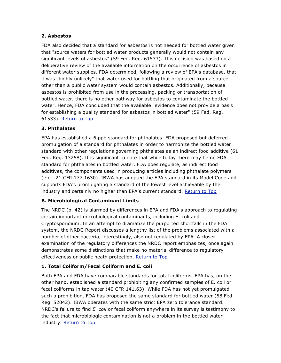#### **2. Asbestos**

FDA also decided that a standard for asbestos is not needed for bottled water given that "source waters for bottled water products generally would not contain any significant levels of asbestos" (59 Fed. Reg. 61533). This decision was based on a deliberative review of the available information on the occurrence of asbestos in different water supplies. FDA determined, following a review of EPA's database, that it was "highly unlikely" that water used for bottling that originated from a source other than a public water system would contain asbestos. Additionally, because asbestos is prohibited from use in the processing, packing or transportation of bottled water, there is no other pathway for asbestos to contaminate the bottled water. Hence, FDA concluded that the available "evidence does not provide a basis for establishing a quality standard for asbestos in bottled water" (59 Fed. Reg. 61533). Return to Top

## **3. Phthalates**

EPA has established a 6 ppb standard for phthalates. FDA proposed but deferred promulgation of a standard for phthalates in order to harmonize the bottled water standard with other regulations governing phthalates as an indirect food additive (61 Fed. Reg. 13258). It is significant to note that while today there may be no FDA standard for phthalates in bottled water, FDA does regulate, as indirect food additives, the components used in producing articles including phthalate polymers (e.g., 21 CFR 177.1630). IBWA has adopted the EPA standard in its Model Code and supports FDA's promulgating a standard of the lowest level achievable by the industry and certainly no higher than EPA's current standard. Return to Top

## **B. Microbiological Contaminant Limits**

The NRDC (p. 42) is alarmed by differences in EPA and FDA's approach to regulating certain important microbiological contaminants, including E. coli and Cryptosporidium. In an attempt to dramatize the purported shortfalls in the FDA system, the NRDC Report discusses a lengthy list of the problems associated with a number of other bacteria, interestingly, also not regulated by EPA. A closer examination of the regulatory differences the NRDC report emphasizes, once again demonstrates some distinctions that make no material difference to regulatory effectiveness or public heath protection. Return to Top

## **1. Total Coliform/Fecal Coliform and E. coli**

Both EPA and FDA have comparable standards for total coliforms. EPA has, on the other hand, established a standard prohibiting any confirmed samples of E. coli or fecal coliforms in tap water (40 CFR 141.63). While FDA has not yet promulgated such a prohibition, FDA has proposed the same standard for bottled water (58 Fed. Reg. 52042). IBWA operates with the same strict EPA zero tolerance standard. NRDC's failure to find *E. coli* or fecal coliform anywhere in its survey is testimony to the fact that microbiologic contamination is not a problem in the bottled water industry. Return to Top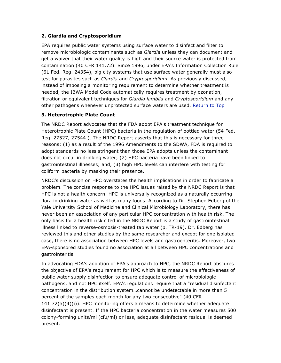## **2. Giardia and Cryptosporidium**

EPA requires public water systems using surface water to disinfect and filter to remove microbiologic contaminants such as *Giardia* unless they can document and get a waiver that their water quality is high and their source water is protected from contamination (40 CFR 141.72). Since 1996, under EPA's Information Collection Rule (61 Fed. Reg. 24354), big city systems that use surface water generally must also test for parasites such as *Giardia* and *Cryptosporidium*. As previously discussed, instead of imposing a monitoring requirement to determine whether treatment is needed, the IBWA Model Code automatically requires treatment by ozonation, filtration or equivalent techniques for *Giardia lamblia* and *Cryptosporidium* and any other pathogens whenever unprotected surface waters are used. Return to Top

## **3. Heterotrophic Plate Count**

The NRDC Report advocates that the FDA adopt EPA's treatment technique for Heterotrophic Plate Count (HPC) bacteria in the regulation of bottled water (54 Fed. Reg. 27527, 27544 ). The NRDC Report asserts that this is necessary for three reasons: (1) as a result of the 1996 Amendments to the SDWA, FDA is required to adopt standards no less stringent than those EPA adopts unless the contaminant does not occur in drinking water; (2) HPC bacteria have been linked to gastrointestinal illnesses; and, (3) high HPC levels can interfere with testing for coliform bacteria by masking their presence.

NRDC's discussion on HPC overstates the health implications in order to fabricate a problem. The concise response to the HPC issues raised by the NRDC Report is that HPC is not a health concern. HPC is universally recognized as a naturally occurring flora in drinking water as well as many foods. According to Dr. Stephen Edberg of the Yale University School of Medicine and Clinical Microbiology Laboratory, there has never been an association of any particular HPC concentration with health risk. The only basis for a health risk cited in the NRDC Report is a study of gastrointestinal illness linked to reverse-osmosis-treated tap water (p. TR-19). Dr. Edberg has reviewed this and other studies by the same researcher and except for one isolated case, there is no association between HPC levels and gastroenteritis. Moreover, two EPA-sponsored studies found no association at all between HPC concentrations and gastrointeritis.

In advocating FDA's adoption of EPA's approach to HPC, the NRDC Report obscures the objective of EPA's requirement for HPC which is to measure the effectiveness of public water supply disinfection to ensure adequate control of microbiologic pathogens, and not HPC itself. EPA's regulations require that a "residual disinfectant concentration in the distribution system…cannot be undetectable in more than 5 percent of the samples each month for any two consecutive" (40 CFR 141.72(a)(4)(i)). HPC monitoring offers a means to determine whether adequate disinfectant is present. If the HPC bacteria concentration in the water measures 500 colony-forming units/ml (cfu/ml) or less, adequate disinfectant residual is deemed present.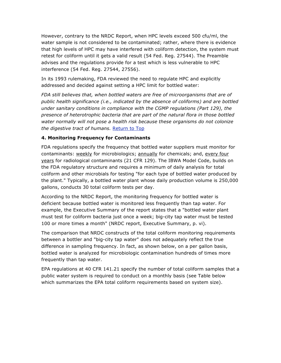However, contrary to the NRDC Report, when HPC levels exceed 500 cfu/ml, the water sample is not considered to be contaminated; rather, where there is evidence that high levels of HPC may have interfered with coliform detection, the system must retest for coliform until it gets a valid result (54 Fed. Reg. 27544). The Preamble advises and the regulations provide for a test which is less vulnerable to HPC interference (54 Fed. Reg. 27544, 27556).

In its 1993 rulemaking, FDA reviewed the need to regulate HPC and explicitly addressed and decided against setting a HPC limit for bottled water:

*FDA still believes that, when bottled waters are free of microorganisms that are of public health significance (i.e., indicated by the absence of coliforms) and are bottled under sanitary conditions in compliance with the CGMP regulations (Part 129), the presence of heterotrophic bacteria that are part of the natural flora in those bottled water normally will not pose a health risk because these organisms do not colonize the digestive tract of humans.* Return to Top

## **4. Monitoring Frequency for Contaminants**

FDA regulations specify the frequency that bottled water suppliers must monitor for contaminants: weekly for microbiologics; annually for chemicals; and, every four years for radiological contaminants (21 CFR 129). The IBWA Model Code, builds on the FDA regulatory structure and requires a minimum of daily analysis for total coliform and other microbials for testing "for each type of bottled water produced by the plant." Typically, a bottled water plant whose daily production volume is 250,000 gallons, conducts 30 total coliform tests per day.

According to the NRDC Report, the monitoring frequency for bottled water is deficient because bottled water is monitored less frequently than tap water. For example, the Executive Summary of the report states that a "bottled water plant must test for coliform bacteria just once a week; big-city tap water must be tested 100 or more times a month" (NRDC report, Executive Summary, p. vi).

The comparison that NRDC constructs of the total coliform monitoring requirements between a bottler and "big-city tap water" does not adequately reflect the true difference in sampling frequency. In fact, as shown below, on a per gallon basis, bottled water is analyzed for microbiologic contamination hundreds of times more frequently than tap water.

EPA regulations at 40 CFR 141.21 specify the number of total coliform samples that a public water system is required to conduct on a monthly basis (see Table below which summarizes the EPA total coliform requirements based on system size).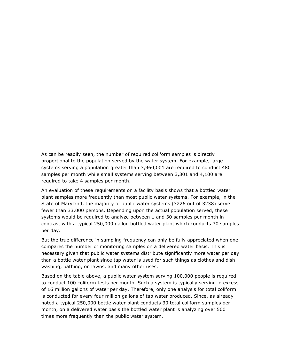As can be readily seen, the number of required coliform samples is directly proportional to the population served by the water system. For example, large systems serving a population greater than 3,960,001 are required to conduct 480 samples per month while small systems serving between 3,301 and 4,100 are required to take 4 samples per month.

An evaluation of these requirements on a facility basis shows that a bottled water plant samples more frequently than most public water systems. For example, in the State of Maryland, the majority of public water systems (3226 out of 3238) serve fewer than 33,000 persons. Depending upon the actual population served, these systems would be required to analyze between 1 and 30 samples per month in contrast with a typical 250,000 gallon bottled water plant which conducts 30 samples per day.

But the true difference in sampling frequency can only be fully appreciated when one compares the number of monitoring samples on a delivered water basis. This is necessary given that public water systems distribute significantly more water per day than a bottle water plant since tap water is used for such things as clothes and dish washing, bathing, on lawns, and many other uses.

Based on the table above, a public water system serving 100,000 people is required to conduct 100 coliform tests per month. Such a system is typically serving in excess of 16 million gallons of water per day. Therefore, only one analysis for total coliform is conducted for every four million gallons of tap water produced. Since, as already noted a typical 250,000 bottle water plant conducts 30 total coliform samples per month, on a delivered water basis the bottled water plant is analyzing over 500 times more frequently than the public water system.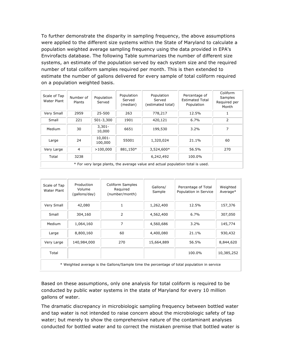To further demonstrate the disparity in sampling frequency, the above assumptions were applied to the different size systems within the State of Maryland to calculate a population weighted average sampling frequency using the data provided in EPA's Envirofacts database. The following Table summarizes the number of different size systems, an estimate of the population served by each system size and the required number of total coliform samples required per month. This is then extended to estimate the number of gallons delivered for every sample of total coliform required on a population weighted basis.

| Scale of Tap<br>Water Plant                                                     | Number of<br>Plants | Population<br>Served  | Population<br>Served<br>(median) | Population<br>Served<br>(estimated total) | Percentage of<br><b>Estimated Total</b><br>Population | Coliform<br>Samples<br>Required per<br>Month |  |  |  |
|---------------------------------------------------------------------------------|---------------------|-----------------------|----------------------------------|-------------------------------------------|-------------------------------------------------------|----------------------------------------------|--|--|--|
| Very Small                                                                      | 2959                | 25-500                | 263                              | 778,217                                   | 12.5%                                                 |                                              |  |  |  |
| Small                                                                           | 221                 | 501-3,300             | 1901                             | 420,121                                   | 6.7%                                                  | 2                                            |  |  |  |
| Medium                                                                          | 30                  | $3,301 -$<br>10,000   | 6651                             | 199,530                                   | $3.2\%$                                               | 7                                            |  |  |  |
| Large                                                                           | 24                  | $10,001 -$<br>100,000 | 55001                            | 1,320,024                                 | 21.1%                                                 | 60                                           |  |  |  |
| Very Large                                                                      | 4                   | >100,000              | 881,150*                         | 3,524,600*                                | 56.5%                                                 | 270                                          |  |  |  |
| Total                                                                           | 3238                |                       |                                  | 6,242,492                                 | 100.0%                                                |                                              |  |  |  |
| * For very large plants, the average value and actual population total is used. |                     |                       |                                  |                                           |                                                       |                                              |  |  |  |

| Scale of Tap<br>Water Plant                                                                 | Production<br>Volume<br>(gallons/day) | Coliform Samples<br>Required<br>(number/month) | Gallons/<br>Sample | Percentage of Total<br>Population in Service | Weighted<br>Average* |  |  |  |
|---------------------------------------------------------------------------------------------|---------------------------------------|------------------------------------------------|--------------------|----------------------------------------------|----------------------|--|--|--|
| Very Small                                                                                  | 42,080                                | 1                                              | 1,262,400          | 12.5%                                        | 157,376              |  |  |  |
| Small                                                                                       | 304,160                               | 2                                              | 4,562,400          | 6.7%                                         | 307,050              |  |  |  |
| Medium                                                                                      | 1,064,160                             | 7                                              | 4,560,686          | $3.2\%$                                      | 145,774              |  |  |  |
| Large                                                                                       | 8,800,160                             | 60                                             | 4,400,080          | 21.1%                                        | 930,432              |  |  |  |
| Very Large                                                                                  | 140,984,000                           | 270                                            | 15,664,889         | 56.5%                                        | 8,844,620            |  |  |  |
| Total                                                                                       |                                       |                                                |                    | 100.0%                                       | 10,385,252           |  |  |  |
| * Weighted average is the Gallons/Sample time the percentage of total population in service |                                       |                                                |                    |                                              |                      |  |  |  |

Based on these assumptions, only one analysis for total coliform is required to be conducted by public water systems in the state of Maryland for every 10 million gallons of water.

The dramatic discrepancy in microbiologic sampling frequency between bottled water and tap water is not intended to raise concern about the microbiologic safety of tap water; but merely to show the comprehensive nature of the contaminant analyses conducted for bottled water and to correct the mistaken premise that bottled water is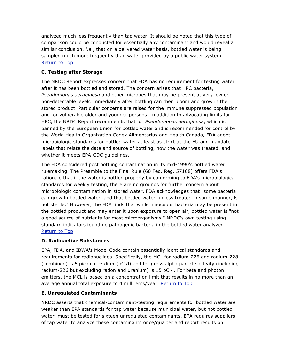analyzed much less frequently than tap water. It should be noted that this type of comparison could be conducted for essentially any contaminant and would reveal a similar conclusion, *i.e*., that on a delivered water basis, bottled water is being sampled much more frequently than water provided by a public water system. Return to Top

# **C. Testing after Storage**

The NRDC Report expresses concern that FDA has no requirement for testing water after it has been bottled and stored. The concern arises that HPC bacteria, *Pseudomonas aeruginosa* and other microbes that may be present at very low or non-detectable levels immediately after bottling can then bloom and grow in the stored product. Particular concerns are raised for the immune suppressed population and for vulnerable older and younger persons. In addition to advocating limits for HPC, the NRDC Report recommends that for *Pseudomonas aeruginosa*, which is banned by the European Union for bottled water and is recommended for control by the World Health Organization Codex Alimentarius and Health Canada, FDA adopt microbiologic standards for bottled water at least as strict as the EU and mandate labels that relate the date and source of bottling, how the water was treated, and whether it meets EPA-CDC guidelines.

The FDA considered post bottling contamination in its mid-1990's bottled water rulemaking. The Preamble to the Final Rule (60 Fed. Reg. 57108) offers FDA's rationale that if the water is bottled properly by conforming to FDA's microbiological standards for weekly testing, there are no grounds for further concern about microbiologic contamination in stored water. FDA acknowledges that "some bacteria can grow in bottled water, and that bottled water, unless treated in some manner, is not sterile." However, the FDA finds that while innocuous bacteria may be present in the bottled product and may enter it upon exposure to open air, bottled water is "not a good source of nutrients for most microorganisms." NRDC's own testing using standard indicators found no pathogenic bacteria in the bottled water analyzed. Return to Top

# **D. Radioactive Substances**

EPA, FDA, and IBWA's Model Code contain essentially identical standards and requirements for radionuclides. Specifically, the MCL for radium-226 and radium-228 (combined) is 5 pico curies/liter (pCi/l) and for gross alpha particle activity (including radium-226 but excluding radon and uranium) is 15 pCi/l. For beta and photon emitters, the MCL is based on a concentration limit that results in no more than an average annual total exposure to 4 millirems/year. Return to Top

# **E. Unregulated Contaminants**

NRDC asserts that chemical-contaminant-testing requirements for bottled water are weaker than EPA standards for tap water because municipal water, but not bottled water, must be tested for sixteen unregulated contaminants. EPA requires suppliers of tap water to analyze these contaminants once/quarter and report results on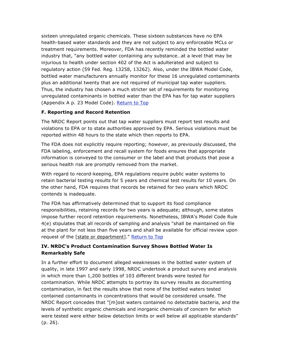sixteen unregulated organic chemicals. These sixteen substances have no EPA health-based water standards and they are not subject to any enforceable MCLs or treatment requirements. Moreover, FDA has recently reminded the bottled water industry that, "any bottled water containing any substance…at a level that may be injurious to health under section 402 of the Act is adulterated and subject to regulatory action (59 Fed. Reg. 13258, 13262). Also, under the IBWA Model Code, bottled water manufacturers annually monitor for these 16 unregulated contaminants plus an additional twenty that are not required of municipal tap water suppliers. Thus, the industry has chosen a much stricter set of requirements for monitoring unregulated contaminants in bottled water than the EPA has for tap water suppliers (Appendix A p. 23 Model Code). Return to Top

## **F. Reporting and Record Retention**

The NRDC Report points out that tap water suppliers must report test results and violations to EPA or to state authorities approved by EPA. Serious violations must be reported within 48 hours to the state which then reports to EPA.

The FDA does not explicitly require reporting; however, as previously discussed, the FDA labeling, enforcement and recall system for foods ensures that appropriate information is conveyed to the consumer or the label and that products that pose a serious health risk are promptly removed from the market.

With regard to record-keeping, EPA regulations require public water systems to retain bacterial testing results for 5 years and chemical test results for 10 years. On the other hand, FDA requires that records be retained for two years which NRDC contends is inadequate.

The FDA has affirmatively determined that to support its food compliance responsibilities, retaining records for two years is adequate; although, some states impose further record retention requirements. Nonetheless, IBWA's Model Code Rule 4(e) stipulates that all records of sampling and analysis "shall be maintained on file at the plant for not less than five years and shall be available for official review upon request of the [state or department]." Return to Top

# **IV. NRDC's Product Contamination Survey Shows Bottled Water Is Remarkably Safe**

In a further effort to document alleged weaknesses in the bottled water system of quality, in late 1997 and early 1998, NRDC undertook a product survey and analysis in which more than 1,200 bottles of 103 different brands were tested for contamination. While NRDC attempts to portray its survey results as documenting contamination, in fact the results show that none of the bottled waters tested contained contaminants in concentrations that would be considered unsafe. The NRDC Report concedes that "[m]ost waters contained no detectable bacteria, and the levels of synthetic organic chemicals and inorganic chemicals of concern for which were tested were either below detection limits or well below all applicable standards" (p. 26).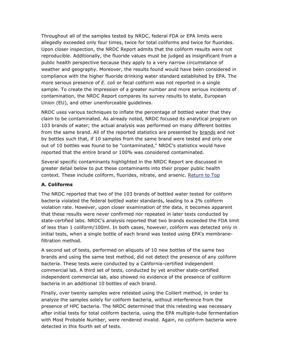Throughout all of the samples tested by NRDC, federal FDA or EPA limits were allegedly exceeded only four times, twice for total coliforms and twice for fluorides. Upon closer inspection, the NRDC Report admits that the coliform results were not reproducible. Additionally, the fluoride values must be judged as insignificant from a public health perspective because they apply to a very narrow circumstance of weather and geography. Moreover, the results found would have been considered in compliance with the higher fluoride drinking water standard established by EPA. The more serious presence of *E. coli* or fecal coliform was not reported in a single sample. To create the impression of a greater number and more serious incidents of contamination, the NRDC Report compares its survey results to state, European Union (EU), and other unenforceable guidelines.

NRDC uses various techniques to inflate the percentage of bottled water that they claim to be contaminated. As already noted, NRDC focused its analytical program on 103 brands of water; the actual analysis was performed on many different bottles from the same brand. All of the reported statistics are presented by brands and not by bottles such that, if 10 samples from the same brand were tested and only one out of 10 bottles was found to be "contaminated," NRDC's statistics would have reported that the entire brand or 100% was considered contaminated.

Several specific contaminants highlighted in the NRDC Report are discussed in greater detail below to put these contaminants into their proper public health context. These include coliform, fluorides, nitrate, and arsenic. Return to Top

## **A. Coliforms**

The NRDC reported that two of the 103 brands of bottled water tested for coliform bacteria violated the federal bottled water standards, leading to a 2% coliform violation rate. However, upon closer examination of the data, it becomes apparent that these results were never confirmed nor repeated in later tests conducted by state-certified labs. NRDC's analysis reported that two brands exceeded the FDA limit of less than 1 coliform/100ml. In both cases, however, coliform was detected only in initial tests, when a single bottle of each brand was tested using EPA's membranefiltration method.

A second set of tests, performed on aliquots of 10 new bottles of the same two brands and using the same test method, did not detect the presence of any coliform bacteria. These tests were conducted by a California-certified independent commercial lab. A third set of tests, conducted by yet another state-certified independent commercial lab, also showed no evidence of the presence of coliform bacteria in an additional 10 bottles of each brand.

Finally, over twenty samples were retested using the Colilert method, in order to analyze the samples solely for coliform bacteria, without interference from the presence of HPC bacteria. The NRDC determined that this retesting was necessary after initial tests for total coliform bacteria, using the EPA multiple-tube fermentation with Most Probable Number, were rendered invalid. Again, no coliform bacteria were detected in this fourth set of tests.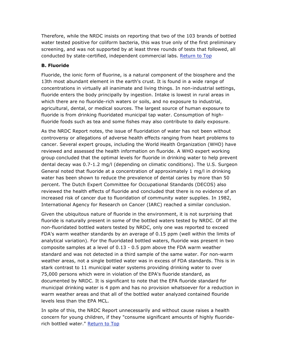Therefore, while the NRDC insists on reporting that two of the 103 brands of bottled water tested positive for coliform bacteria, this was true only of the first preliminary screening, and was not supported by at least three rounds of tests that followed, all conducted by state-certified, independent commercial labs. Return to Top

## **B. Fluoride**

Fluoride, the ionic form of fluorine, is a natural component of the biosphere and the 13th most abundant element in the earth's crust. It is found in a wide range of concentrations in virtually all inanimate and living things. In non-industrial settings, fluoride enters the body principally by ingestion. Intake is lowest in rural areas in which there are no fluoride-rich waters or soils, and no exposure to industrial, agricultural, dental, or medical sources. The largest source of human exposure to fluoride is from drinking fluoridated municipal tap water. Consumption of highfluoride foods such as tea and some fishes may also contribute to daily exposure.

As the NRDC Report notes, the issue of fluoridation of water has not been without controversy or allegations of adverse health effects ranging from heart problems to cancer. Several expert groups, including the World Health Organization (WHO) have reviewed and assessed the health information on fluoride. A WHO expert working group concluded that the optimal levels for fluoride in drinking water to help prevent dental decay was 0.7-1.2 mg/l (depending on climatic conditions). The U.S. Surgeon General noted that fluoride at a concentration of approximately 1 mg/l in drinking water has been shown to reduce the prevalence of dental caries by more than 50 percent. The Dutch Expert Committee for Occupational Standards (DECOS) also reviewed the health effects of fluoride and concluded that there is no evidence of an increased risk of cancer due to fluoridation of community water supplies. In 1982, International Agency for Research on Cancer (IARC) reached a similar conclusion.

Given the ubiquitous nature of fluoride in the environment, it is not surprising that fluoride is naturally present in some of the bottled waters tested by NRDC. Of all the non-fluoridated bottled waters tested by NRDC, only one was reported to exceed FDA's warm weather standards by an average of 0.15 ppm (well within the limits of analytical variation). For the fluoridated bottled waters, fluoride was present in two composite samples at a level of 0.13 - 0.5 ppm above the FDA warm weather standard and was not detected in a third sample of the same water. For non-warm weather areas, not a single bottled water was in excess of FDA standards. This is in stark contrast to 11 municipal water systems providing drinking water to over 75,000 persons which were in violation of the EPA's fluoride standard, as documented by NRDC. It is significant to note that the EPA fluoride standard for municipal drinking water is 4 ppm and has no provision whatsoever for a reduction in warm weather areas and that all of the bottled water analyzed contained flouride levels less than the EPA MCL.

In spite of this, the NRDC Report unnecessarily and without cause raises a health concern for young children, if they "consume significant amounts of highly fluoriderich bottled water." Return to Top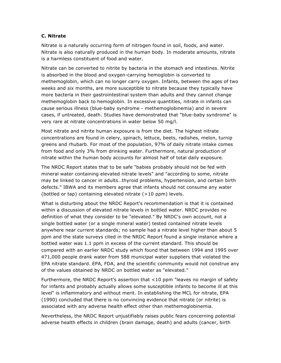#### **C. Nitrate**

Nitrate is a naturally occurring form of nitrogen found in soil, foods, and water. Nitrate is also naturally produced in the human body. In moderate amounts, nitrate is a harmless constituent of food and water.

Nitrate can be converted to nitrite by bacteria in the stomach and intestines. Nitrite is absorbed in the blood and oxygen-carrying hemoglobin is converted to methemoglobin, which can no longer carry oxygen. Infants, between the ages of two weeks and six months, are more susceptible to nitrate because they typically have more bacteria in their gastrointestinal system than adults and they cannot change methemoglobin back to hemoglobin. In excessive quantities, nitrate in infants can cause serious illness (blue-baby syndrome - methemoglobinemia) and in severe cases, if untreated, death. Studies have demonstrated that "blue-baby syndrome" is very rare at nitrate concentrations in water below 50 mg/l.

Most nitrate and nitrite human exposure is from the diet. The highest nitrate concentrations are found in celery, spinach, lettuce, beets, radishes, melon, turnip greens and rhubarb. For most of the population, 97% of daily nitrate intake comes from food and only 3% from drinking water. Furthermore, natural production of nitrate within the human body accounts for almost half of total daily exposure.

The NRDC Report states that to be safe "babies probably should not be fed with mineral water containing elevated nitrate levels" and "according to some, nitrate may be linked to cancer in adults…thyroid problems, hypertension, and certain birth defects." IBWA and its members agree that infants should not consume any water (bottled or tap) containing elevated nitrate (>10 ppm) levels.

What is disturbing about the NRDC Report's recommendation is that it is contained within a discussion of elevated nitrate levels in bottled water. NRDC provides no definition of what they consider to be "elevated." By NRDC's own account, not a single bottled water (or a single mineral water) tested contained nitrate levels anywhere near current standards; no sample had a nitrate level higher than about 5 ppm and the state surveys cited in the NRDC Report found a single instance where a bottled water was 1.1 ppm in excess of the current standard. This should be compared with an earlier NRDC study which found that between 1994 and 1995 over 471,000 people drank water from 588 municipal water suppliers that violated the EPA nitrate standard. EPA, FDA, and the scientific community would not construe any of the values obtained by NRDC on bottled water as "elevated."

Furthermore, the NRDC Report's assertion that <10 ppm "leaves no margin of safety for infants and probably actually allows some susceptible infants to become ill at this level" is inflammatory and without merit. In establishing the MCL for nitrate, EPA (1990) concluded that there is no convincing evidence that nitrate (or nitrite) is associated with any adverse health effect other than methemoglobinemia.

Nevertheless, the NRDC Report unjustifiably raises public fears concerning potential adverse health effects in children (brain damage, death) and adults (cancer, birth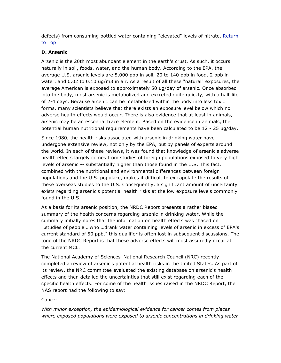defects) from consuming bottled water containing "elevated" levels of nitrate. Return to Top

## **D. Arsenic**

Arsenic is the 20th most abundant element in the earth's crust. As such, it occurs naturally in soil, foods, water, and the human body. According to the EPA, the average U.S. arsenic levels are 5,000 ppb in soil, 20 to 140 ppb in food, 2 ppb in water, and 0.02 to 0.10 ug/m3 in air. As a result of all these "natural" exposures, the average American is exposed to approximately 50 ug/day of arsenic. Once absorbed into the body, most arsenic is metabolized and excreted quite quickly, with a half-life of 2-4 days. Because arsenic can be metabolized within the body into less toxic forms, many scientists believe that there exists an exposure level below which no adverse health effects would occur. There is also evidence that at least in animals, arsenic may be an essential trace element. Based on the evidence in animals, the potential human nutritional requirements have been calculated to be 12 - 25 ug/day.

Since 1980, the health risks associated with arsenic in drinking water have undergone extensive review, not only by the EPA, but by panels of experts around the world. In each of these reviews, it was found that knowledge of arsenic's adverse health effects largely comes from studies of foreign populations exposed to very high levels of arsenic -- substantially higher than those found in the U.S. This fact, combined with the nutritional and environmental differences between foreign populations and the U.S. populace, makes it difficult to extrapolate the results of these overseas studies to the U.S. Consequently, a significant amount of uncertainty exists regarding arsenic's potential health risks at the low exposure levels commonly found in the U.S.

As a basis for its arsenic position, the NRDC Report presents a rather biased summary of the health concerns regarding arsenic in drinking water. While the summary initially notes that the information on health effects was "based on …studies of people …who …drank water containing levels of arsenic in excess of EPA's current standard of 50 ppb," this qualifier is often lost in subsequent discussions. The tone of the NRDC Report is that these adverse effects will most assuredly occur at the current MCL.

The National Academy of Sciences' National Research Council (NRC) recently completed a review of arsenic's potential health risks in the United States. As part of its review, the NRC committee evaluated the existing database on arsenic's health effects and then detailed the uncertainties that still exist regarding each of the specific health effects. For some of the health issues raised in the NRDC Report, the NAS report had the following to say:

## **Cancer**

*With minor exception, the epidemiological evidence for cancer comes from places where exposed populations were exposed to arsenic concentrations in drinking water*